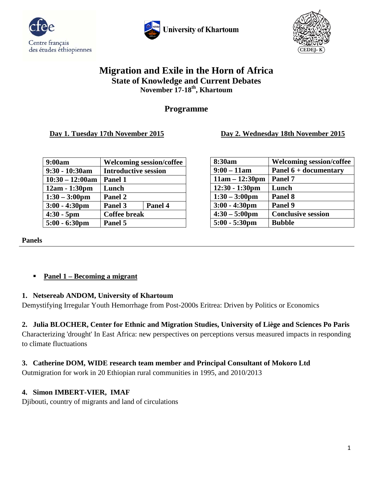





# **Migration and Exile in the Horn of Africa State of Knowledge and Current Debates November 17-18th, Khartoum**

# **Programme**

**Day 1. Tuesday 17th November 2015 Day 2. Wednesday 18th November 2015**

| 9:00am                  | <b>Welcoming session/coffee</b> |         |
|-------------------------|---------------------------------|---------|
| 9:30 - 10:30am          | <b>Introductive session</b>     |         |
| $10:30 - 12:00am$       | Panel 1                         |         |
| $12am - 1:30pm$         | Lunch                           |         |
| $1:30 - 3:00 \text{pm}$ | Panel 2                         |         |
| $3:00 - 4:30$ pm        | Panel 3                         | Panel 4 |
| $4:30 - 5$ pm           | <b>Coffee break</b>             |         |
| $5:00 - 6:30 \text{pm}$ | Panel 5                         |         |

| 8:30am                  | <b>Welcoming session/coffee</b> |
|-------------------------|---------------------------------|
| $9:00 - 11$ am          | Panel 6 + documentary           |
| $11am - 12:30pm$        | Panel 7                         |
| $12:30 - 1:30$ pm       | Lunch                           |
| $1:30 - 3:00 \text{pm}$ | Panel 8                         |
| $3:00 - 4:30$ pm        | Panel 9                         |
| $4:30 - 5:00 \text{pm}$ | <b>Conclusive session</b>       |
| $5:00 - 5:30 \text{pm}$ | <b>Bubble</b>                   |

**Panels**

## **Panel 1 – Becoming a migrant**

## **1. Netsereab ANDOM, University of Khartoum**

Demystifying Irregular Youth Hemorrhage from Post-2000s Eritrea: Driven by Politics or Economics

# **2. Julia BLOCHER, Center for Ethnic and Migration Studies, University of Liège and Sciences Po Paris**

Characterizing 'drought' In East Africa: new perspectives on perceptions versus measured impacts in responding to climate fluctuations

## **3. Catherine DOM, WIDE research team member and Principal Consultant of Mokoro Ltd**

Outmigration for work in 20 Ethiopian rural communities in 1995, and 2010/2013

## **4. Simon IMBERT-VIER, IMAF**

Djibouti, country of migrants and land of circulations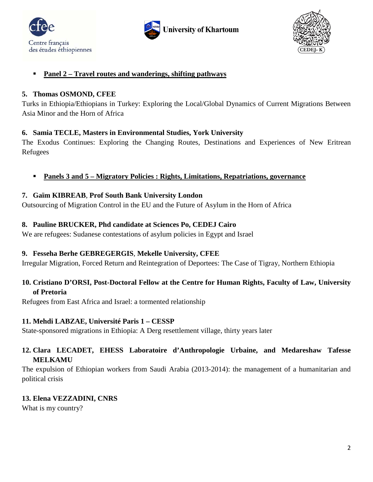





### **Panel 2 – Travel routes and wanderings, shifting pathways**

#### **5. Thomas OSMOND, CFEE**

Turks in Ethiopia/Ethiopians in Turkey: Exploring the Local/Global Dynamics of Current Migrations Between Asia Minor and the Horn of Africa

### **6. Samia TECLE, Masters in Environmental Studies, York University**

The Exodus Continues: Exploring the Changing Routes, Destinations and Experiences of New Eritrean Refugees

**Panels 3 and 5 – Migratory Policies : Rights, Limitations, Repatriations, governance**

### **7. Gaïm KIBREAB**, **Prof South Bank University London**

Outsourcing of Migration Control in the EU and the Future of Asylum in the Horn of Africa

### **8. Pauline BRUCKER, Phd candidate at Sciences Po, CEDEJ Cairo**

We are refugees: Sudanese contestations of asylum policies in Egypt and Israel

#### **9. Fesseha Berhe GEBREGERGIS**, **Mekelle University, CFEE**

Irregular Migration, Forced Return and Reintegration of Deportees: The Case of Tigray, Northern Ethiopia

## **10. Cristiano D'ORSI, Post-Doctoral Fellow at the Centre for Human Rights, Faculty of Law, University of Pretoria**

Refugees from East Africa and Israel: a tormented relationship

#### **11. Mehdi LABZAE, Université Paris 1 – CESSP**

State-sponsored migrations in Ethiopia: A Derg resettlement village, thirty years later

## **12. Clara LECADET, EHESS Laboratoire d'Anthropologie Urbaine, and Medareshaw Tafesse MELKAMU**

The expulsion of Ethiopian workers from Saudi Arabia (2013-2014): the management of a humanitarian and political crisis

## **13. Elena VEZZADINI, CNRS**

What is my country?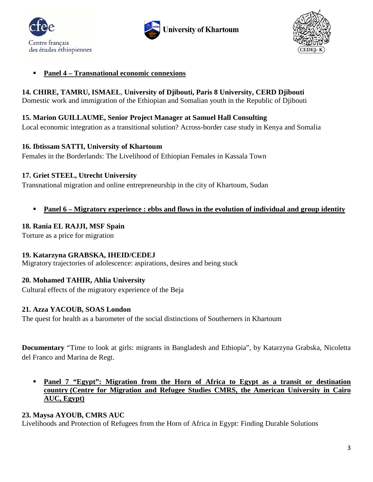





#### **Panel 4 – Transnational economic connexions**

## **14. CHIRE, TAMRU, ISMAEL**, **University of Djibouti, Paris 8 University, CERD Djibouti**

Domestic work and immigration of the Ethiopian and Somalian youth in the Republic of Djibouti

#### **15. Marion GUILLAUME, Senior Project Manager at Samuel Hall Consulting**

Local economic integration as a transitional solution? Across-border case study in Kenya and Somalia

#### **16. Ibtissam SATTI, University of Khartoum**

Females in the Borderlands: The Livelihood of Ethiopian Females in Kassala Town

### **17. Griet STEEL, Utrecht University**

Transnational migration and online entrepreneurship in the city of Khartoum, Sudan

**Panel 6 – Migratory experience : ebbs and flows in the evolution of individual and group identity**

### **18. Rania EL RAJJI, MSF Spain**

Torture as a price for migration

## **19. Katarzyna GRABSKA, IHEID/CEDEJ**

Migratory trajectories of adolescence: aspirations, desires and being stuck

## **20. Mohamed TAHIR, Ahlia University**

Cultural effects of the migratory experience of the Beja

## **21. Azza YACOUB, SOAS London**

The quest for health as a barometer of the social distinctions of Southerners in Khartoum

**Documentary** "Time to look at girls: migrants in Bangladesh and Ethiopia", by Katarzyna Grabska, Nicoletta del Franco and Marina de Regt.

### **Panel 7 "Egypt": Migration from the Horn of Africa to Egypt as a transit or destination country (Centre for Migration and Refugee Studies CMRS, the American University in Cairo AUC, Egypt)**

## **23. Maysa AYOUB, CMRS AUC**

Livelihoods and Protection of Refugees from the Horn of Africa in Egypt: Finding Durable Solutions